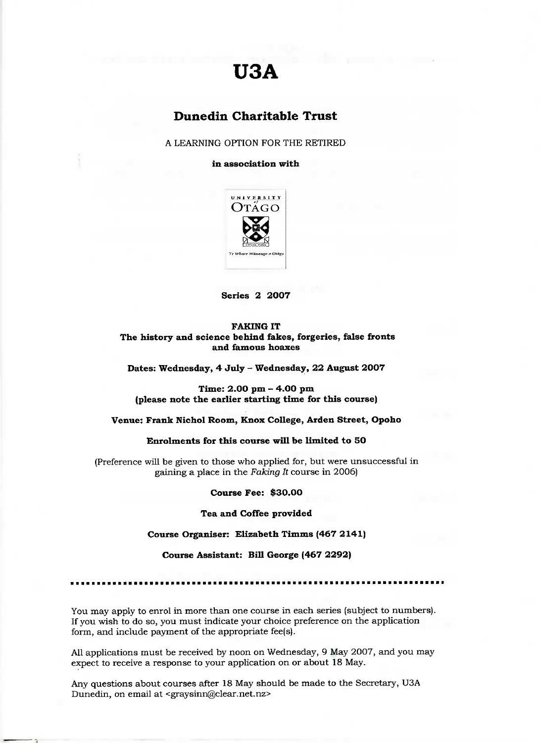# **U3A**

# **Dunedin Charitable Trust**

A LEARNING OPTION FOR THE RETIRED

**in association with**



**Series 2 2007**

**FAKING IT The history and science behind fakes, forgeries, false fronts and famous hoaxes**

**Dates: Wednesday, 4 July - Wednesday, 22 August 2007**

**Time: 2.00 pm - 4.00 pm (please note the earlier starting time for this course)**

**Venue: Frank Nichol Room, Knox College, Arden Street, Opoho**

**Enrolments for this course will be limited to 5O**

(Preference will be given to those who applied for, but were unsuccessful in gaining a place in the *Faking It* course in 2006)

**Course Fee: \$30.00**

**Tea and Coffee provided**

**Course Organiser: Elizabeth Timms (467 2141)**

**Course Assistant: Bill George (467 2292)**

You may apply to enrol in more than one course in each series (subject to numbers). If you wish to do so, you must indicate your choice preference on the application form, and include payment of the appropriate fee(s).

All applications must be received by noon on Wednesday, 9 May 2007, and you may expect to receive a response to your application on or about 18 May.

Any questions about courses after 18 May should be made to the Secretary, USA Dunedin, on email at <graysinn@clear.net.nz>